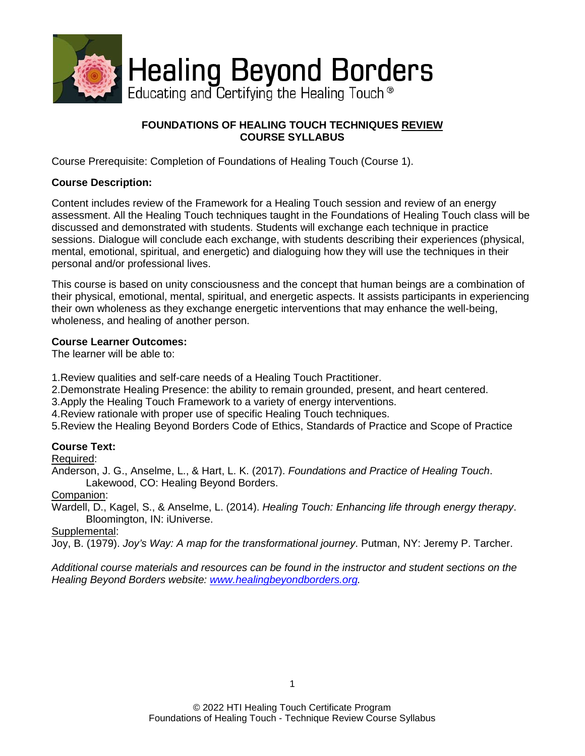

# **FOUNDATIONS OF HEALING TOUCH TECHNIQUES REVIEW COURSE SYLLABUS**

Course Prerequisite: Completion of Foundations of Healing Touch (Course 1).

## **Course Description:**

Content includes review of the Framework for a Healing Touch session and review of an energy assessment. All the Healing Touch techniques taught in the Foundations of Healing Touch class will be discussed and demonstrated with students. Students will exchange each technique in practice sessions. Dialogue will conclude each exchange, with students describing their experiences (physical, mental, emotional, spiritual, and energetic) and dialoguing how they will use the techniques in their personal and/or professional lives.

This course is based on unity consciousness and the concept that human beings are a combination of their physical, emotional, mental, spiritual, and energetic aspects. It assists participants in experiencing their own wholeness as they exchange energetic interventions that may enhance the well-being, wholeness, and healing of another person.

### **Course Learner Outcomes:**

The learner will be able to:

1.Review qualities and self-care needs of a Healing Touch Practitioner.

2.Demonstrate Healing Presence: the ability to remain grounded, present, and heart centered.

3.Apply the Healing Touch Framework to a variety of energy interventions.

4.Review rationale with proper use of specific Healing Touch techniques.

5.Review the Healing Beyond Borders Code of Ethics, Standards of Practice and Scope of Practice

### **Course Text:**

Required:

Anderson, J. G., Anselme, L., & Hart, L. K. (2017). *Foundations and Practice of Healing Touch*. Lakewood, CO: Healing Beyond Borders.

Companion:

Wardell, D., Kagel, S., & Anselme, L. (2014). *Healing Touch: Enhancing life through energy therapy*. Bloomington, IN: iUniverse.

Supplemental:

Joy, B. (1979). *Joy's Way: A map for the transformational journey*. Putman, NY: Jeremy P. Tarcher.

*Additional course materials and resources can be found in the instructor and student sections on the Healing Beyond Borders website: [www.healingbeyondborders.org.](http://www.healingbeyondborders.org/)*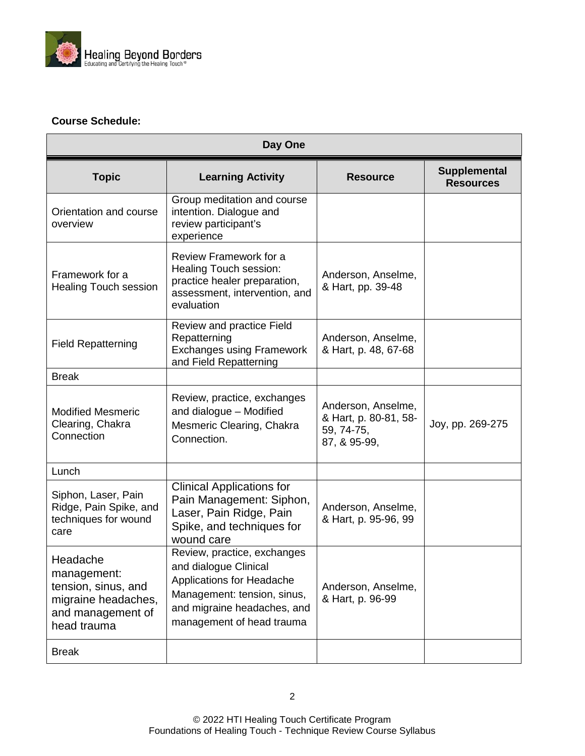

# **Course Schedule:**

| Day One                                                                                                   |                                                                                                                                                                                     |                                                                           |                                         |  |
|-----------------------------------------------------------------------------------------------------------|-------------------------------------------------------------------------------------------------------------------------------------------------------------------------------------|---------------------------------------------------------------------------|-----------------------------------------|--|
| <b>Topic</b>                                                                                              | <b>Learning Activity</b>                                                                                                                                                            | <b>Resource</b>                                                           | <b>Supplemental</b><br><b>Resources</b> |  |
| Orientation and course<br>overview                                                                        | Group meditation and course<br>intention. Dialogue and<br>review participant's<br>experience                                                                                        |                                                                           |                                         |  |
| Framework for a<br><b>Healing Touch session</b>                                                           | Review Framework for a<br>Healing Touch session:<br>practice healer preparation,<br>assessment, intervention, and<br>evaluation                                                     | Anderson, Anselme,<br>& Hart, pp. 39-48                                   |                                         |  |
| <b>Field Repatterning</b>                                                                                 | Review and practice Field<br>Repatterning<br><b>Exchanges using Framework</b><br>and Field Repatterning                                                                             | Anderson, Anselme,<br>& Hart, p. 48, 67-68                                |                                         |  |
| <b>Break</b>                                                                                              |                                                                                                                                                                                     |                                                                           |                                         |  |
| <b>Modified Mesmeric</b><br>Clearing, Chakra<br>Connection                                                | Review, practice, exchanges<br>and dialogue - Modified<br>Mesmeric Clearing, Chakra<br>Connection.                                                                                  | Anderson, Anselme,<br>& Hart, p. 80-81, 58-<br>59, 74-75,<br>87, & 95-99, | Joy, pp. 269-275                        |  |
| Lunch                                                                                                     |                                                                                                                                                                                     |                                                                           |                                         |  |
| Siphon, Laser, Pain<br>Ridge, Pain Spike, and<br>techniques for wound<br>care                             | <b>Clinical Applications for</b><br>Pain Management: Siphon,<br>Laser, Pain Ridge, Pain<br>Spike, and techniques for<br>wound care                                                  | Anderson, Anselme,<br>& Hart, p. 95-96, 99                                |                                         |  |
| Headache<br>management:<br>tension, sinus, and<br>migraine headaches,<br>and management of<br>head trauma | Review, practice, exchanges<br>and dialogue Clinical<br><b>Applications for Headache</b><br>Management: tension, sinus,<br>and migraine headaches, and<br>management of head trauma | Anderson, Anselme,<br>& Hart, p. 96-99                                    |                                         |  |
| <b>Break</b>                                                                                              |                                                                                                                                                                                     |                                                                           |                                         |  |